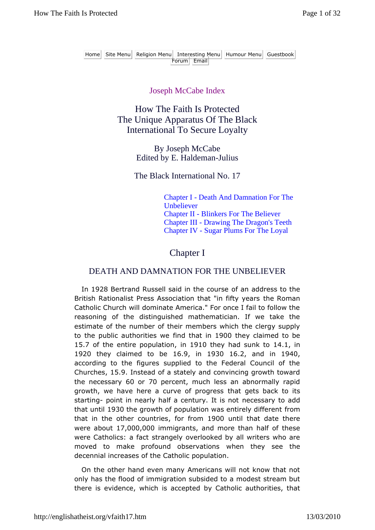#### Joseph McCabe Index

How The Faith Is Protected The Unique Apparatus Of The Black International To Secure Loyalty

> By Joseph McCabe Edited by E. Haldeman-Julius

The Black International No. 17

Chapter I - Death And Damnation For The Unbeliever Chapter II - Blinkers For The Believer Chapter III - Drawing The Dragon's Teeth Chapter IV - Sugar Plums For The Loyal

### Chapter I

#### DEATH AND DAMNATION FOR THE UNBELIEVER

In 1928 Bertrand Russell said in the course of an address to the British Rationalist Press Association that "in fifty years the Roman Catholic Church will dominate America." For once I fail to follow the reasoning of the distinguished mathematician. If we take the estimate of the number of their members which the clergy supply to the public authorities we find that in 1900 they claimed to be 15.7 of the entire population, in 1910 they had sunk to 14.1, in 1920 they claimed to be 16.9, in 1930 16.2, and in 1940, according to the figures supplied to the Federal Council of the Churches, 15.9. Instead of a stately and convincing growth toward the necessary 60 or 70 percent, much less an abnormally rapid growth, we have here a curve of progress that gets back to its starting- point in nearly half a century. It is not necessary to add that until 1930 the growth of population was entirely different from that in the other countries, for from 1900 until that date there were about 17,000,000 immigrants, and more than half of these were Catholics: a fact strangely overlooked by all writers who are moved to make profound observations when they see the decennial increases of the Catholic population.

On the other hand even many Americans will not know that not only has the flood of immigration subsided to a modest stream but there is evidence, which is accepted by Catholic authorities, that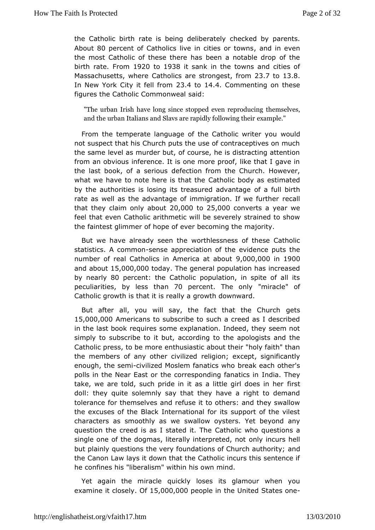the Catholic birth rate is being conceloiks edat beyolv parents. Abou80 percent of Catholics live in citizensdion etwewns the most Catholic of these there has been a notable drop of birthrate From 1920 to 1938 it sank in the towns and cities of Massachusetts, Whateholics are stroningen 26.7to13.8 In New York City it fell 4trooth 4.4 Commenting on these figures the Catholic Commanon weal

"The urban Irish have long since stoppheed mest producing the urban reproducing the  $\frac{1}{2}$ and the urban Italians and Slavs are exampoind by be following their

From the temperate language of the Cathwhic duriter you not suspect that his Church puts the use of contraceptives on thesame level as murder but, of course, he is distracting atte from an obviionus ence. It is one more proof, like that I gave in the last book, of a defecusion from the Church. However, what we have to note here  $i\mathbf{\mathsf{\mathfrak{C}}}$  atthat itch  $\mathbf{\mathsf{\Phi}}$  ody as estimated by the authorities is losing its treasuorfeda afolivlantinatoine rate as well as the advantage of immigratione.caflwe further that they claim only  $20,0000$   $0.25,000$  converts a year we feel that en Catholic arithmetic will be severely strained to show the faintest glimmer pe of ever becoming the majority.

But we have already seveonthinessness of these Catholic statistics. A co-msnemousne appreciation enoufid tehnece puts the number of real Catholics in America 0a0t 0a0t0001900 and about, 000,000  $d$ ay The general population has increased by nearByO percent: the Catholic population, in spite of all i peculiarities, by thlærs 30 percent The onl'ymirac' eof Catholic growth is that it gisomethall dyournward.

But after all, you will say, the fact thagtetshe Church 15,000,000 mericans to subscribe to such a creed as I describ in theast book requires some explanation. Indeed, they seem simply to substorible but, according to the apologists and the Catholic press, to beenthus be astic about their "holy faith" than the members of any other relivionalize the xcept, significantly enough, the sceinniilized Moslem fanabircesa kwhecach other's polls in the Near East or the correspondhid iga.faThhaetycs in take, we are told, such pride in it as a littleirgirl does in he doll: they quite solemnly say that they have a right to dem tolerancer themselves and refuse it to others: and they swall the excuses oB It the Black International for its support of the viles characters as smoothly swass Il own oy sters. Yet beyond any question the creed is as  $I$  staded thot ic T who questions a single one of the dogmas, literally inotrelry nientoeud's moetll but plainly questions the very foundations of a Chrolurch authority the Canon Law lays it down that the Catholic incurs this sent heconfines his "liberalism" within his own mind.

Yet again the miqacclely loses its glamour when you examine it clo**©é15**,000,00poeopletine United States one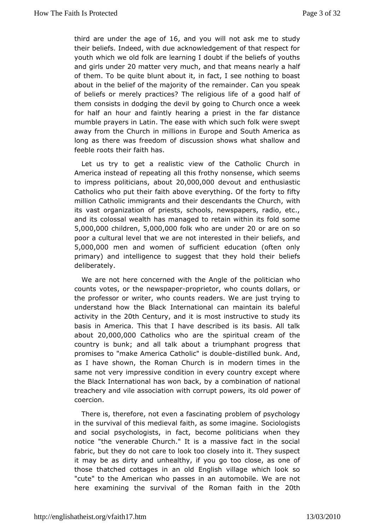third are under the 1a6queanodf vou will not askstnuedyto their beliefs. Indeed, with due acknowledgement of that respe youthwhich we old folk are learning I doubt if the beliefs of yc and girls un2dDematter very mancul that means nearly a half of them. To be quitabbolwthit, in fact, I see nothing to boast about in the belief of the mhaeornethy and hider. Can you speak of beliefs or merely practices? Theofrealigiocouds hafle of them consists in dodging the devil by going weed khurch once a for half an hour and faintly hearing a priest in the far dis mumblerayers in Latin. The ease with which such folk were sw away from the Charonhillions in Europe and South America as long as there was freedd socus sofion shows what shallow and feeble roots their faith has.

Let us tto get a realistic view of the Catholic Church in America instead of repole athing frothy nonsense, which seems to impress politi**a**banus 20,000,000 evout and enthusiastic Catholics who put their faith above everty the forty the million Catholic immigrants and their descendwathts the Church its vast organization of priests, schools, newspapers, radio and itsolossal wealth has managed to retain within its fold so 5,000,000 hildr, e5n,000,00 folk who are u2n0doer are on so poor a cultural level thantotwentaeneested in their beliefs, and 5,000,000 hen and women of sufediciention (often only primary) and intelligence to suggest that bleelige flacht their deliberately.

We are not here concerned with the pAomictician much whole counts votes, or the newrsoppapetror, who counts dollars, or the professor or writer, who counts readers. We are just trying understam ow the Black International can maintain its balefu activity in 20th Century, and it is most instructive to study its basis in America. Thibat heat described is its basis. All talk  $about20,000,000$  atholics who are pithibual cream of the country is bunk; and all talk about a triumt that nt progress promises to "make America Catholddstibled bubulnek. And, as Ihave shown, the Roman Church is in modern times in t same not very impressio die in every country except where the Black International has woan choanchinal by ion of national treachery and vile association with cides upd powwers of coercion.

There is, therefore, not even apfabbe mating psychology in the survival of this medieval faith, a Soscoimo bo ginsatgine. and social psychologists, in fact, become politicians when notice "the venerable Church." It is a massive fact in the : fabric, but they do not care to look too closely into it. They susp it may be as dairrody unhealthy, if you go too close, as one of those thatched cottages ilenghish did illage which look so "cute" to the American who passstecsmicnbiale. We are not here examining the survival of the Roman2Ofhaith in the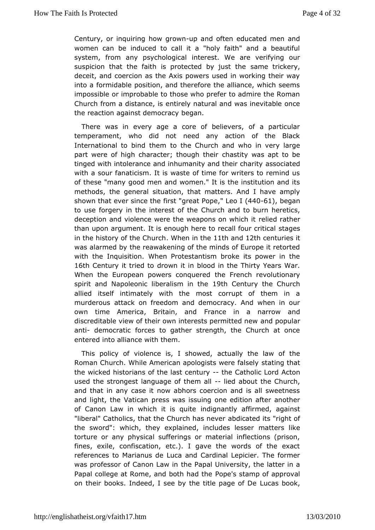Century, or inquiring how parow noften educated men and women can ibneduced to call it a "holy faith" and a beautiful system, from any psychorloggries at. We are verifying our suspicion that the faith is protected above intrinsite ktohey. deceit, and coercion as the Axis powers used in working their into a formidable position, and therefore the alliance, which impossibole improbable to those who prefer to admire the Roma Church from a distancte reily natural and was inevitable once the reaction against debregarma.cy

There was in every age a core of believers, of a partic temperament, who did not need any action of the Black International to bind othem Church and who in very large part were of high character; tho hang thitty hewings apt to be tinged with intolerance and inhumanity and store and arity with a sour fanaticism. It is waste of time for writers to remi of these "many good men and women." It is the institution an methods, tomeneral situation, that matters. And I have amply shown that ever sinficres the free at Popleeo  $(44061)$ , began to use forgery in the interesture of the and to burn heretics, deception and violence were the weapomedied marthcehr it than upon argument. It is enough here to restable four critical in the history of the  $@$  hench the hand  $2<sup>th</sup>$  centuries it wasalarmed by the reawakening of the minds of Europe it reto with thenquisition. When Protestantism broke its power in the 16th Century it tridendowton it in blood in the Thirty Years War. When the European powers ctohrequerementh revolutionary spirit and Napoleonic liberal 1 sm Chen hue the Church allied itself intimately with the most corrupt of them in murderoussttack on freedom and democracy. And when in our own time America, Britain, France in a narrow and discreditable view of their own interests mode propulated almew anti democratic forces to gather strength, the Church at or entered into alliance with them.

This policy of violence is, actually bed, he law of the Roman Church. While American apologisst tsatwinget has the ly the wicked historians of the last ceChaturglic Actord and used the strongest language of Itele mabadut the Church, and than any case it now abhors coercion and is all sweetne and light, the Vaptricessen was issuing one edition after another of Canon Law in which itinslignuathetly affirmed, against "liberal" Catholics, that the Churachhd has astende vitesr "right of the sword": which, they explained, inmollautdes sleiskseer torture or any physical sufferings or material inflections (p fines, exile, confiscation, etc.). I gave the words of the  $reference SMEV = SMEV$  and Cardinal Lepicier. The former was professor of Canonth balwapmal University, the latter in a Papal college at Rome, and b  $\Phi$ tchp **b** 'and stit a emportunity of approval on their books. Indeed, I see by the ti**tlue angot come K**, De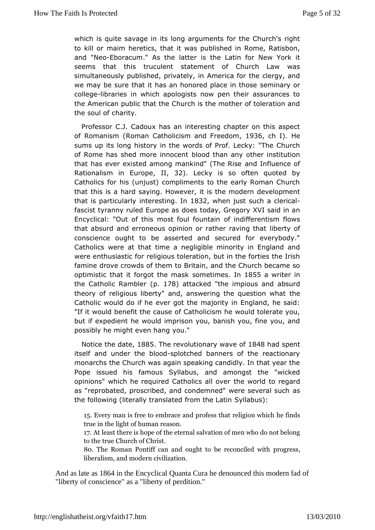which is quite savage in its long arguments for the Church's to kill or maim heretics, that it was published in Rome, Rati and"NeoEboracum." As the latter is the Latin for New York seems that this culent statement of Church Law was simultaneously published, private the intervational for the clergy, and we may be sure that it has an honored spelencies airry tohrose collegebraries in which apologists now pen their assurances the American public that the Church is the mother of toleration the soulcomfarity.

Professor C.J. Cadoux has an interesting chapter on this a of Romani froman Catholicism and Fir @ @ dom ). He sums up its hoisgory in the words of Prof. Lecky: "The Church of Rome has shed more brinoclent and any other institution that has ever existed among mankinadind (The Influnee of Rationalism in  $E = \ln \log 2$ . Lecky is so often quoted by Catholics for his (unjust) compliments to the early Roman Cl that this is a ad saying. However, it is the modern development that is particulatelive stiming 1832 when just such a clerical fascist tyranny ruled Edoesetasay, Gregory XVI said in an Encyclical: "Out of this most foullinduin tearienntism flows that absurd and erroneous opinion or rathebertavor fig that conscience ought to be asserted and secured for everybo Catholiwsere at that time a negligible minority in England an were enthusiasticlifor institution, but in the forties the Irish famine drove crowds of the thain, and the Church became so optimistic that it forgot shoem entams lelsh 1855a writer in the Catholic Rampbler attacke dheimpious and absurd theory of religious liberty" and, answering the equestion wha Catholic would do if he ever got the majority in England, he "If iwould benefit the cause of Catholicism he would tolerate but if expedhen would imprison you, banish you, fine you, and possibly he might evey to thang

Notice the da& 85The revolutionary wia& 4e& had spent itself and under the spoon botoded banners of the reactionary monarchs Chheurch was again speaking candidly. In that year th Pope issued his faGmybluasbus, and amongst the "wicked opinions" which he required Catholhic swall doverregard as "reprobated, proscribed, and condemned" weere several sur the following (literally translated Sryolmablus) Latin

15Every man is free to embrace real rigion of what so ht the et finds true in the light of human reason. 17At leabere is hope of the eternal salvation of men who do to the Chuerch of Christ. 80. The Roman Pontiff can and ought topbegress, nciled with liberalism, and modern civilization.

And as late a \$864 in the Encyclical Quanta Cura he denounced this modern fad of "liberty of conscience" as a "liberty of perdition."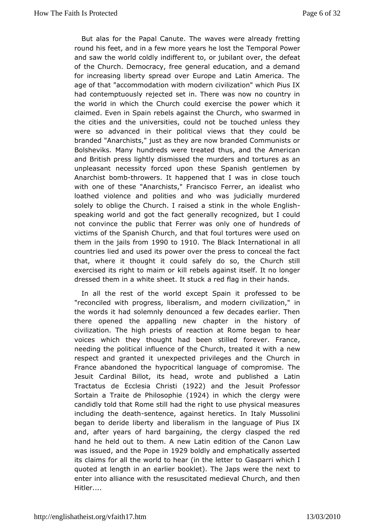But alas for the Papal Cawates Twhere already fretting round his feet, and in a few more yearmes and Power and saw the world coldly indifferent to, or duedfielant over, the of the Church. Democracy, free general education, and a demand forincreasing liberty spread over Europe and Latin America. age of that commodation with modern civilization" which Pius had contemptuorues by ted set in. There was now no country in the world in which the Chue a be repead of the power which it claimed. Even in Spain rebels again wth the wahmmed in the cities and the universities, could not be touched unless were so advanced in their political views that they could brande" Anarchists," just as they are now branded Communists Bolsheviks. Mhamydreds were treated thus, and the American and British press lightly the misseledirs and tortures as an unpleasant necessity forced upon thopes metl Sompanishy Anarchist bothm towers. It happened that I was in close touch withone of these "Anarchists," Francisco Ferrer, an idealist loathed violeance polities and who was judicially murdered solely to oblige the Chaised a stink in the whole English speaking world and got the facte geogneirzad by, but I could not convince the public that Ferrer wars unodine of of victims of the Spanish Church, and that foul tortures were us them in the jails1 9r900 to1910 The Black International in all countribesed and used its power over the press to conceal the that, where thiought it could safely do so, the Church still exercised its right to kmill mebels against itself. It no longer dressed them in a white sheetred stagkin their hands.

In all the rest of the world excepprtofSepssend itto be "reconciled with progress, liberalism, and modern civilizatio the words it had solemnly denounced a few decades earlier. there openewde appalling new chapter in the history of civilization. The high prreests ontat Rome began to hear voices which they thought had beemevsetrilleForance, needing the political influence of the Church, neweated it with respect and granted it unexpected privileges and the Churc Francebandoned the hypocritical language of compromise. T Jesuit Cardinal Bislohead, wrote and published a Latin Tractatus de Ecclesia Christi (1922) and the Jesuit Professor Sortain a Traite de Phi(11o9s2o) phie which the clue engew candidly told that Rome still had the right to use physical me including the deenthence, against heretics. In Italy Mussolini began toberide liberty and liberalism in the language of Pius and, after yeamsand bargaining, the clergy clasped the red hand he held out to them La A innew dition of the Canon Law was issued the Pope 92n9boldly aend phatically asserted its claims for all the world to hear (Gnasher het whenic to I quoted at length in an earlier booklet). The Japs were the  $n_{\rm F}$ enter into alliance with the resuscitated medieval Church, and Hitler....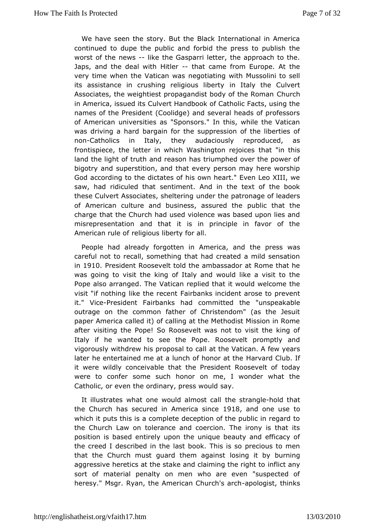We have seen the story. But the Black International in  $Am \ell$ continued to dupe the public and forbid the press to publis worst of the wes-like the Gasparri letter, the approach to the. Japs, and the deal it with that came from Europe. At the very time when the Vatinan gowlandsing with Mussolini to sell its assistance in crushing religiinoulstaliybethtey Culvert Associates, the weightiest propagandist bod ture Roman in America, issued its Culvert Handbook of Catholic Facts, us names of the President (Coolidge) and several heads of profe of Americuamiversities as "Sponsors." In this, while the Vatic was driving a baardain for the suppression of the liberties of non-Catholics in Italy, attheta quistiously reproduced, as frontispiece, the letter in which Washith atto "him et in the isses land the light of truth and reason has triumphed over the pow bigotry and superstition, and that every person may here wo God accordtionghe dictates of his own heart." Even Leo XIII, w saw, had ridicule steth tament. And in the text of the book these Culvert Associates, usheled tethine apatronage of leaders of American culture and business, paushsluiced hathethe charge that the Church had used violence was based upon lie misrepresentation and that it is in principle in favor of American rulre of bious liberty for all.

People had already forgotten in Amheripaes anwas careful not to recall, something that had created a mild sens in1910President Roosevelt told the ambassador at Rome that was going visit the king of Italy and would like a visit to th Pope also arrange dat T che replied that it would welcome the visit "if nothing like the Feairneboaenn kts incident arose to prevent it." ViePeresident Fairbanks had commemittenspeakable outrage on the common father of Christendom" (as the Jesu paper America called it) of calling at the Methodist Mission in aftewisiting the Pope! So Roosevelt was not to visit the kin Italy if he wantoedsee the Pope. Roosevelt promptly and vigorously withdrew his propasah to Voatican. A few years later he entertained me at a lunch of Hanown and a Clubbe If it were wildly conceivable that the President a Ryoosevelt of were to confer some such honor on me, I wonder what the Catholic, or the ordinary, press would say.

It illustrates what one would tall enossttraonad beld that the Church has secured in Amergita and come utsoe which it puts this is a complete deception of the public in  $\mathbf{re}\,$ the Church Law on tolerance and coercion. The irony is that position is based ely upon the unique beauty and efficacy of the creed I described aint the cook. This is so precious to men that the Church must guard the loo sanggaints tby burning aggressive heretics at the stake and claimining the anyight to sort of material penalty on men who are even "suspected heresy M'sgr. Ryan, the American Ch-uarpcohl'osgias rtch thinks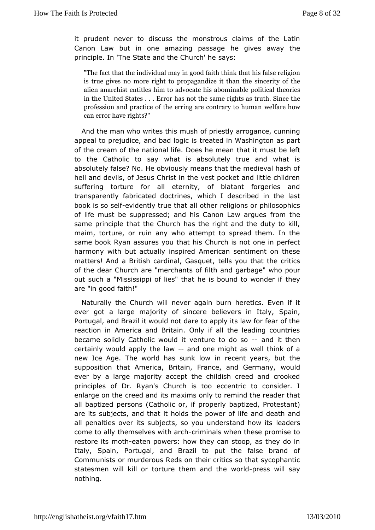it prudent nevedistouss the monstrous claims of the Latin Canon Law but in one amazinghepagsisweegse away the principle. In 'The State and the aCy'surch' he

"The fact that the individual may thmatg bood faalisten ntenlingkion is true gives no more right to probpeags and exet yit of the ame alien anarchist entitles him to advocoaditeichails tahbeoommijensable in the United States . . . Error has nouththe sina meetheghts as profession and practice of the erring  $\boldsymbol{w}$  redfacenthary to human can error have rights?"

And the man who writes sthics f priestly arrogance, cunning appeal to prejudice, and barde a begidcims Washington as part of the cream of the national life. Dbas in emmathe left to the Catholic to say what is absolutely true and what absolutely false? No. He obviously means that the medieval h hell and devils, of Jesus Christ in the vest pocket and little chi suffering torture all eternity, of blatant forgeries and transparently fabricated doorbitor him desclescribed in the last book is so-seild ently true that and log hoems or philosophics of life must be suppressed; and his Canformom Latuneargues same principle that the Church has the right and the duty to maim, torture, or ruin any who attempt to spread them. In same book Raasures you that his Church is not one in perfec harmony with but adthus polity ed American sentiment on these matters! And a British cardinatel Gasquethat the critics of the dear Church are "merchantsgaonfbaidteh" awnhob pour out such a "Mississippi of lies" that he is bohuenyd to wonder i are "in good faith!"

Naturally the Church will never hægatncsbur Enven if it ever got a large majority of sincere beli**&pais**, in Italy, Portugal, and Brazil it would not dare to apply its law for fear reaction in America and Britain. Only if all the leading cou becameolidly Catholic would it ventureanod do tshoen certainly would tahpepliyaw-and one might as well think of a new Ice Age. The world has insume to be years, but the supposition that America, Britain, France, weuld Germany, ever by a large majority accept the childish creed and cro principles Dr. Ryan's Church is too eccentric to consider. enlarge on the creets anned tims only to remind the reader that all baptized persons (Cathorlopeorly braptized, Protestant) are its subjects, and that it holds lthe aprodwele aoth and all penalties over its subjects, so you undeastearsd how its come to ally themselves -with inade when these promise to restore its mecatthen powers: how they can stoop, as they do in Italy, Spaingriugal, and Brazil to put the false brand of Communists or murderoustReids contics so that sycophantic statesmen will kill or torture thew morladphrdestshewill say nothing.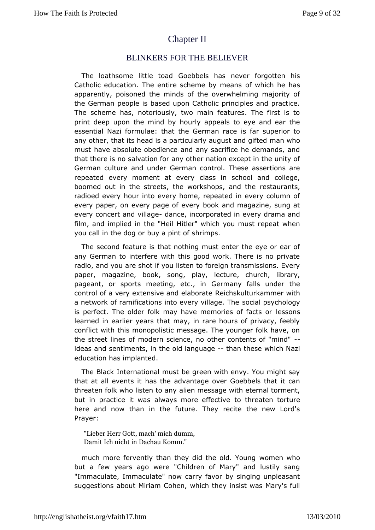# **[ChapterII](http://englishatheist.org/vfaith17.htmChapter)**

#### BLINKERS FOR THE BELIEVER

The loathsome littleGdebbels has never forgotten his Catholic education. The entire scheme which elaen shas apparently, poisoned the minds of the overwhelming majorit the German people is based upon Catholic principles and pra The schemas, notoriously, two main features. The first is t print deep upon the mhourly appeals to eye and ear the essential Nazi formulae: that the Geerfraan superior to any other, that its head is a particularly amuagnu suthand gifted must have absolute obedience and any sacrifice he demands, thathere is no salvation for any other nation except in the un German cultaine under German control. These assertions are repeated every moment at a wery school and college, boomed out in the streets, the workshroepostauarmanthshe radioed every hour into every home, repeated in every colum every paper, on every page of every book and magazine, sun every concertvalniagelance, incorporated in every drama and film, and implied in thet let eiwhich you must repeat when you call in the dog or buysharipmips.of

The second feature is that nothing must enter the eye or e any German to interfere with this good work. There is no pr radio, and goou shot if you listen to foreign transmissions. Eve paper, magazine, **sook**, play, lecture, church, library, pageant, or sports meeting, Getmanyn falls under the control of a very extensive and eet absoluater kammer with a network of ramifications into every oviblage y cThhodogy is perfect. The older folk may have memores soons facts or learned in earlier years that may, in rare hours of privacy, conflict with this monopolistic message. The younger folk have the streleines of modern science, no other contents of "mind" ideas and sentiments, oilnd languaghean these which Nazi education has implanted.

TheBlack International must be green with envy. You might  $\pm$ that at all evembes ithe advantage over Goebbels that it can threaten folk who listean liteon amessage with eternal torment, but in practice it was always motroe tehfrieenattie he to rture here and now than in the future. They recite the new Lord Prayer:

"Lieber Herr Gott, mach' mich dumm, Damit Ich mcDachau Komm."

much more fervently than they did the oomden Womung but a few years ago were "Children of Mary" and lustily s "Immaculate, Immaculate" now carry favor by singing unpleas suggestions a $\blacksquare$  which they insist was Mary's full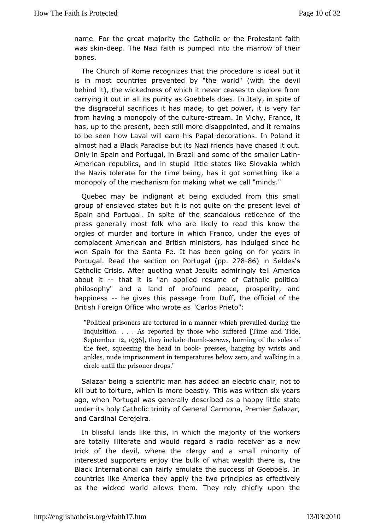name. For the great maid  $\Omega$  attholic or the Protestant faith was skid reep. The Nazi faith is put mise on antow of their bones.

The Church of Rome recognizes othealture heis ideal but it is in most countries prevented by "the the ordine" vilwith behind it), the wickedness of which it never ceases to deplore carrying it out in all its purity as Goebbels does. In Italy, in thedisgraceful sacrifices it has made, to get power, it is ver from having canopoly of the estituture . In Vichy, France, it has, up to the prbeentstill more disappointed, and it remains to be seen how Laval will Papan descorations. In Poland it almost had a Black Paradise but its a Nazi has end dist out. Only in Spain and Portugal, in Brazil asmdabloem d autinthe American republics, and in stupid little staw this chike Slovakia the Nazis tolerate for the time being, has it got something monopoly of the mechanism for making what we call "minds."

Quebec may ibdignant at being excluded from this small group of enslaved states notutquities on the present level of Spain and Portugal. In spite of the esicceme che outs the press generally most folk who are likely to read this know orgies of murder and torture in which Franco, under the eye complace American and British ministers, has indulged since won Spain for the FSeantla has been going on for years in Portugal. Read the section or pP  $\delta$  78866) alin Seldss Catholic Crisis. After quoting what Jesteilts Aandemiciangly about i-t- that it is "an applied resume of Catholic political philosophy" and a land of profound peace, prosperity,  $\mu$ happinesshe givet his passage from Duff, the official of the British Foreign Office who Cward to a Parieto":

"Political prisoners are tortuwebdichnparemanined riguring the Inquisition. . . . As reported ubive ruch chose imples and Tide, September 936they include -sthumwh surning of the soles of the feet, squeezing the - poecasis eins, bloodchyging gists and ankles, nude imprisonment in temperatwuate in alcomezero, and circle until the prisoner drops."

Salazar beinsgiantific man has added an electric chair, not t kill but to torture, wonhoinceh bi**e**astly. This was written six years ago, when Portugal was **gleserableyd** as a happy little state under its holy Catholic trinityCafmoonmaerPremier Salazar, and Cardinal Cerejeira.

In blissful land this kein which the majority of the workers are totally illiterate and gwaoduld radio receiver as a new trick of the devil, where the clesrigipallamidinarity of interested supporters enjoy the bulk of what the alth there is Black International can fairly emulate the success of  $Goebb$ countrieske America they apply the two principles as effectiv as the wicked wad rowls them. They rely chiefly upon the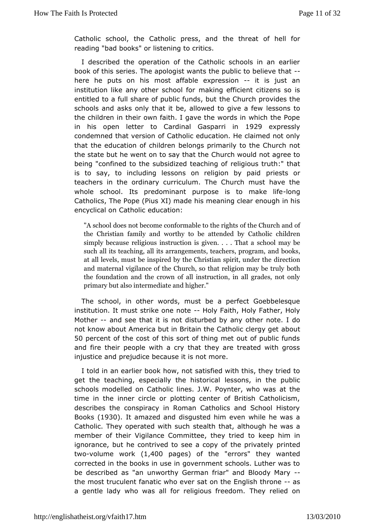Catholic school, the Catholic tohree stsh recented of hell for reading "bad books" or listening to critics.

I described the operation of the Catholic schools in an ea book of the sies. The apologist wants the public-to believe tha here he puts onm**bss** affable expressitons just an institution like any other snoahkoing foofficient citizens so is entitled to a full share of public of undusrchup rovides the schools and asks only that it be, allowelde spons we oa few the children in their own faith. I gave the words in which the in his open letter to Cardinal G1a9s2p9a.enxipriens.sly condemned that veons Coantholic education. He claimed not only that the education of **belongs** primarily to the Church not the state but he went on to say that who and not agree to being "confined to the subsidized etlequication agtroufth:" that is to say, to including lessons on relpogionats by orpaid teachers in the ordinary curriculum. The Church must have wholeschool. Its predominant purpose is -dongnake life Catholics, The Pop) el) miade his meaning clear enough in his encyclical on Caetchund action:

"A school does not become conformable  $\alpha$  but the mand to f the Christian family and worthy toCabloolattenholieddrebny simply because religious instruction sicsh goive may be. That a such all its teaching, all its arrangemeanntss, btoecakesh, ers, progr at all levels, must be inspired by the Cholin set in spirit, under and maternal vigilance of the Church, so thathreligion may the foundation and the crown of all instruction, in all gra primary but also intermediate and higher."

The school, in witch redirs, must be a perfect Goebbelesque institution. It must strike-omely oftaith, Holy Father, Holy Mother- and see that it is not disturbout ble by national do not know about America but in Britain the Cathooulic clergy get 50 percent of the cost of this sort of thing met out of public andfire their people with a cry that they are treated with qu injustice and judice because it is not more.

I told in an earlier book shaot wis, fine of twith this, they tried to get the teaching, especially the shsiosnion idel the public schools modelled on Catholic lines. J.W. Paotynher, who was time in the inner circle or plotting center of British Cathol describes the conspiracy in Roman Catholics and School Hi Books(1930).It amazed and disgusted him even while he was a Catholic. They operated witehalshucthat, although he was a member of their Vigilance Committe to the eeyp thiend in ignorance, but he contrived to see a copy porint the ed privately twovolume wo(k,400 pages of the errors they wanted corrected the books in use in government schools. Luther was be described asun"wanthy German friar" and Bloody Mary the most truculent fanatic swah cone vidence English -tharsone a gentle lady who was all for religious ay free tichend on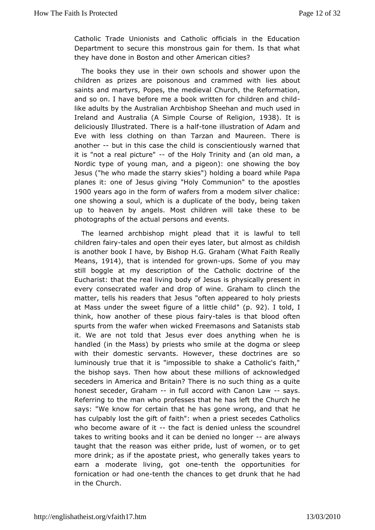Catholic Trade Unionists and Catholic officials in the Edu Department to secure this monstrous gain for them. Is that  $\overline{y}$ they have dom Boston and other American cities?

The books they use in the chrow behand shower upon the children as prizes are poisonous and times mabdutwith saints and martyrs, Popes, the medieval Church, the Reforma andso on. I have before me a book written for children and  $c$ like adults by uberalian Archbishop Sheehan and much used in Ireland and Australia (AC Gourspele of Religion Book, It is deliciously Illustrated. The tenies laushtation of Adam and Eve with less clothing on than Tarzan Eimedre Masureen. another but in this case the child is conscientiously warned t itis "not a real picturet"he Holy Trinity and (an old man, a Nordic typey outing man, and a pigeon): one showing the boy Jesus ("he who made theekieetsa") holding a board while Papa planes it: one of Jesus givCiong mither independent to the apostles 1900 years ago in the form of wafers from invearm challe immest one showing a soul, which is a duplicate of takenbody, being up to heaven by angels. Most children will take these to be photograph shoef actual persons and events.

The learned archbishop might pleadlathat ito tell children fatarlyes and open their eyes later, bountilalish host as is another book I have, by Bishop H.G. Graham (What Faith F  $Means1, 914$ , that is intended for upsow Shome of you may still boggle atdensycription of the Catholic doctrine of the Eucharist: that the real liovfing bods busing physically present in every consecrated wafer and dr@padmfanwine.clinch the matter, tells his readers that Jesus "oftheon vappiee as the disc at Mass under the sweet figure of a 1912)le tohlidhd think, how another of these  $-\phi$  ades is ithat blood often spurts frome wafer when wicked Freemasons and Satanists sta it. We are not toldletshuest ever does anything when he is handled (in the Mass) by priestat wthe sdroighea or sleep with their domestic servants. However, theseodoctrines are luminously true that it is "impossible to shake a Catholic's thebishop says. Then how about these millions of acknowled seceders in Amændcæritain? There is no such thing as a quite honest seceder, Grailman full alcord with Canon-Laws. Referring to the man who professes that the acho he says: "We know for certain that he has gone herong, and that has culpably lost the gift of faith": when a priest secedes Ca whobecome aware of the fact is denied unless the scoundrel takes to wribioncocks and it can be denied-noor to oblogue ays taught that the reasentheaspride, lust of women, or to get more drink; as if the apostawtheopgeensetr, ally takes years to earn a moderate living, text horthoopportunities for fornication or hatdenot the chances to get druhad that he in the Church.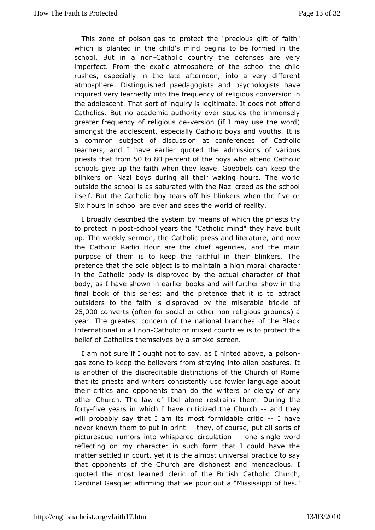This zone of poassorto protect the "precodusaid hit which is planted in the child's mind begins to be formed ir school. But in a Cantohnolic country the defenses are very imperfect. Frome **the ethnosphere** of the school the child rushes, especially in tahfeen aboon, into a very different atmosphere. Distinguished paedagosgicshtosloagrielts have inquired very learnedly into the frequency voefr sieolnigious the adolescent. That sort of inquiry is legitorhizetred It does not Catholics. But no academic authority ever studies the immer greate frequency of religives is the independent (if I may use the word) amongst the blescent, especially Catholic boys and youths. It a common subjectlisodussion at conferences of Catholic teachers, and I have earlier qaudomt esds iblows of various priests that f5r@ tmo80 percent of the boys wh© ad htoelmid schools give up the faith when they leave. Goebbels can kee blinkers on Nazi boys during all their waking hours. The v outside the school is as saturated with the Nazi creed as the school itself. But Chatholic boy tears off his blinkers when the five Six hours in schooolear and sees the world of reality.

I broadly described the smetans by which the priests try to protect in-spoons dolyears the "Cmaithologiichey have built up. The weekly sermon, the Catholic pres**ana not div**iterature, the Catholic Radio Hour are the chief agencies, and the purpose bifem is to keep the faithful in their blinkers. The pretence that the bsjected is to maintain a high moral character in the Catholic body is dbiyspthoevead ctual character of that body, as I have shown in earlier biouorkheansdhow will in the final book of this series; and the pretenceet that att it is to outsiders to the faith is disproved by the miserable trickl  $25,000$  onverts (often for social o-rreoligieorus og rounds) a year. The greatcers dern of the national branches of the Black International in eC a thoonlow mixed countries is to protect the belief of Catholics themselwebestare an.

I am not sure if I ought not to say, as I ponse on above, a gas zone to keep the believers from straying into alien pastu isanother of the discreditable distinctions of the Church of that its priasts writers consistently use fowler language about their critics and opptonents the writers or clergy of any other Church. The law of lirbest trainsethem. During the fort-five years in which I have cr $\Omega$  hai zoehd at they will probably say that I am its most formlichaable critic never known them to put-inhpyin bf course, put all sorts of picturesque rumors into whispered-oireustantion a word reflecting moyn character in such form that I could have the matter settled in couris, tyheet at impost universal practice to say that opponents of the Chuishonest and mendacious. I quoted the most learned cleric of Ctarte o Bicitio Cs hurch, Cardinal Gasquet affirming that we pour outlies "Mississippi of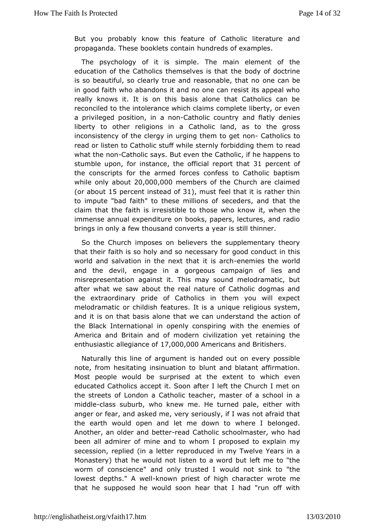But you probably know this feature of Catholic literature propaganda. ese booklets contain hundreds of examples.

The psychology of simplse. The main element of the education of the Catholics themstehere is order to fatdoctrine is so beautiful, so clearly true and reason reablem, bleat no in good faith who abandons it and no one can resist its appeal really knows it. It is on this basis alone that Catholics ca reconciled hte intolerance which claims complete liberty, or ev a privileged positicom, on Chatholic country and flatly denies liberty to other religions atholic land, as to the gross inconsistency of the clergy in urging onheight to inconsistency of the clergy in urging onread or listen to Catholic stuff while sternlty of roar bodding them what the noatholic says. But even the Catholic, if he happens stumble upom instanthee official reportathement of the conscripts for the armed forces confess to Catholic baptism while only ab out 2000,000 mbers of the Church are claimed (or about 5 percent instead), or fust feel that it is rather thin to impute "bad faith" to these smeid eidoenrss, o fand that the claim that the faith is irresistible to thos when  $\alpha$  help of the now immense annual expenditure on books, papers, lectures, and brings in only a few thousand converts a year is still thinner.

So the hurch imposes on believers the supplementary theory that their faith is andhoby necessary for good conduct in this world and salvation in the ineixt at healtemies the world and the devil, engage in a gorgeous bias pangoh of misrepresentation against it. This may sound melodramatic, but aftewhat we saw about the real nature of Catholic dogmas a the extraordinary opfridentholics in them you will expect melodramatic or childish featuuresquet reliaqious system, and it is on that basis alone that we ctaine uncedieornstoand the Black International in openly conspiring with the enemi-America and Britain and of modern civilization yet retaining enthusias atlike giance 70, f000,000 mericans and Britishers

Naturally this liar equomient is handed out on every possible note, from hesitating insinbulation anto blatant affirmation. Most people would be surprised at the hielxteen to educated Catholics accept it. Soon after I left the Church I n the streets of London a Catholic teacher, master of a schoo middlelassuburb, who knew me. He turned pale, either with anger or fear, and askedymsee, riously, if I was not afraid that the earth would open and let mewheberwenl tbelonged. Another, an older an<del>d ebacult Contholic schoolmasht and</del>, who been all admirer of mine and to whom I proposed to explain secessioneplied (in a letter reproduced in my Twelve Years in Monastery) that he not ullisten to a word but left me to "the worm of conscience" and onlywtruulsdtendotl sink to "the lowest depths." Aknwowwh priest of high chwarnoat**e**temme that he supposed he would soon hear that I had "run off  $\sqrt{ }$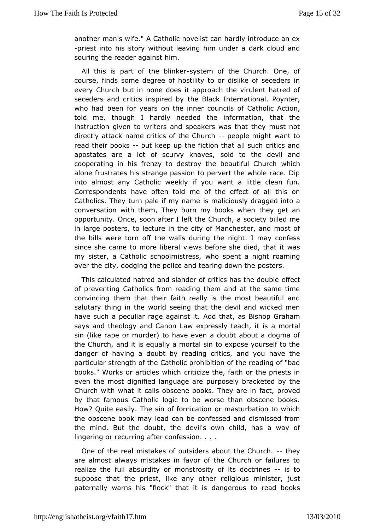anotheman's wife." A Catholic novelist can hardly introduce an -priest into shiory without leaving him under a dark cloud and souring the reader agrainst

All this is part of the syboltion the church. One, of course inds some degree of hostility to or dislike of seceder every Church but nie does it approach the virulent hatred of seceders and critics institute Bollaccyk International. Poynter, who had been for years on the inner Catholic SAction, told me, though I hardly needed the information, that t instruction given to writers and speakers was that they mus directly attraachke critics of the Ghouspoonle might want to read their books at keepp the fiction that all such critics and apostates are a lot of scurv yo kchat cest, he devil and cooperating in his frenzy to destroy the bwe hat that Church alone frustrates his strange passion to pervert the whole rac intoalmost any Catholic weekly if you want a little clean f Correspondents different told me of the effect of all this on Catholics. They turn pale if smm an admineusly dragged into a conversation with them, They burn mythbooy kgsetwhaoenn opportunity. Once, soon after I left the Church, a society bill in large posters, to lecture in the city of Manchester, and m the bilwsere torn off the walls during the night. I may confe since she came tolimeral views before she died, that it was my sister, a Catholic schoow mois spees nst, a night roaming over the city, dodging the police and tepaorsinegrsdown the

This calculated hatred and slander of crities from the double of preventing Catholics from reading them and at the same convincing mem that their faith really is the most beautiful are salutary thing iwotrhed seeing that the devil and wicked men have such a peculiar rage **Againbati**, tas Bishop Graham says and theology and Canon Law express saymtoeration, it sin (like rape or murder) to have even a doubt about a dogm theChurch, and it is equally a mortal sin to expose yourself t danger baiving a doubt by reading critics, and you have the particular strength Cathtoleic prohibition of the reading of "bad books." Works or articlesit which the, faith or the priests in even the most dignified languames are bracketed by the Church with what it calls obscene bookstect, hoe would in by that famous Catholic logic to be worse than obscene bo How Quite easily. The sin of fornication or masturbation to w the obscene broax lead can be confessed and dismissed from the mind. But the doubole vill hse own child, has a way of lingering or recurring after confession. . . .

One of the real mistakes of outsiders aboutthe we Church. arealmost always mistakes in favor of the Church or failure realize the afbusturdity or monstrosity of its-disocttorines suppose that the prie**an**y lickther religious minister, just paternally warns his "flock" dtah age ibuis to read books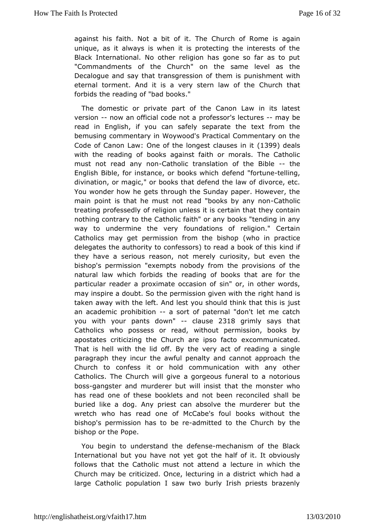against his faith. Not a bit of it. The Cihsuracghaionf Rome unique, as it always is when it is protecting the interests of Black International. No other religion has gone so far as t "Commandmends the Church" on the same level as the Decalogue and say that trans of the strains pour finishment with eternal torment. And it is a very sterChhulanowh othhathe forbids the reading of "bad books."

The domestic or ppiarate of the Canon Law in its latest version-now an official coderoidessor's lectumines be read in English, if you can safely tseexptarfatoen thee bemusing commentary in Woywood's Practical Commentary on Codeof Canon L& whe of the longest clauds engineed is with the reading owls against faith or morals. The Catholic must not read any Cantohnolit canslation of the -Bible English Bible, for instance, or doesfoothed w'hoictuen deing, divination, or magic," or books that defend rule et aw of You wonder how he gets through the Sunday paper. However, mainpoint is that he must not read "book- $\mathcal C$  abthoal non non treating professed by igion unless it is certain that they contain nothing contrary Coatthelic faith" or any books "tending in any way to undermine the fou endyations of religion." Certain Catholics may get permission from (whe bishop actice delegates the authority to confessors) to relaid daibook of this they have a serious reason, not merely curiosity, but even bishop's permission "exempts nobody from the provisions of the natural law which ftohrebids ading of books that are for the particular reader a proximate sin a simuliofother words, may inspire a doubt. So the permissionrigit the manithishe taken away with the left. And lest you should us that this is an academic prohibiai contt of paternal "don't let me catch you withour pants dow-nclause2318 grimly says that Catholics who possess owrithead, permission, books by apostates criticizing the Church abexcioperson ufraicated. That is hell with the lid off. By the very  $\sin \theta \phi$  reading a paragraph they incur the awful penalty and cannot approach the Church toponfess it or hold communication with any other Catholics. The Church aviglorgie eus funeral to a notorious bos-gangster and murderer but whialt inhseis thonster who has read one of these booklets and not beheart reseonciled buried like a dog. Any priest can absolve the murderer but wretchwho has read one of McCabe's foul books without th bishop's permission breasendenitted to the Church by the bishop or the Pope.

You begin utroderstand the demiest seanism of the Black International but you havegortothee half of it. It obviously follows that the Catholic must note to taut the independent on the Church may be criticized. Once, lecturing idin had isatrict large Catholic population I saw two burly Irish priests bra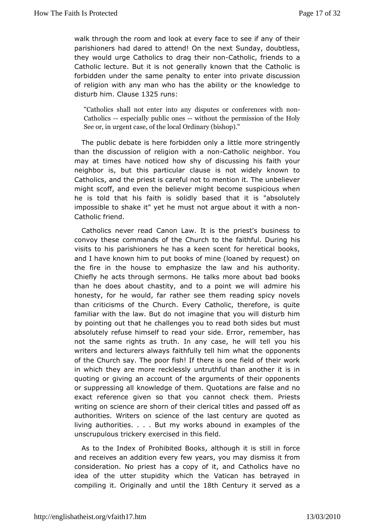walk through the room and look at every face to see if any of parishion asd dared to attend! On the next Sunday, doubtless they would urge Cath**drizes theeir -Cantholic**, friends to a Catholic lecture. But it is not the great and the Catholic is forbidden under the same penalty torivater districts ion of religion with any man who has the ability do the knowledge  $disturb$  him auste $325$ runs:

"Catholics shall not to ean terdisputes or conferences with no  $C$  atholics specially publiw ible ones the permission of the Holy See or, in urgent cas $\Theta$ , other the (bishop)."

The public debate is here forbild thee more atringently than the discussion of religion Cwaith the languing habor. You may at times have noticed how shy of discussing his faith neighbor is, but this particular clause is not widely know Catholics, tahed priest is careful not to mention it. The unbeliev might scoff, and the we believer might become suspicious when he is told that his faith beasendlid hyat it is "absolutely impossible to shake it" yet he must not with a anboonut Catholic friend.

Catholics never read Canon Lawprietsti's thussiness to convoy these commands of the Church to the hiaithful. During visits to his parishioners he has a keen scent for heretical and have known him to put books of mine (loaned by request) the fire in the housemphasize the law and his authority. Chiefly he acts through senteablast medice about bad books than he does about chastity, and to a apdominite whe swill honesty, for he would, far rather see them reading spicy  $n \in \mathbb{N}$ thancriticisms of the Church. Every Catholic, therefore, is quite familiar with lawe But do not imagine that you will disturb him by pointing out the antallenges you to read both sides but must absolutely refuse himsely otuor reade. Error, remember, has not the same rights as truth. In a whyill catell, yho eu his writers and lecturers always faithfully teolph phoimme mutssat the of the Church say. The poor fish! If there is one field of thei in which they are more recklessly untruthful than another it quoting or iving an account of the arguments of their opponents or suppressing nawledge of them. Quotations are false and no exact reference given so than to workeck them. Priests writing on science are shorn of theiarnod epraissabe of itd efsas authorities. Writers on science of the last cearstury are quot living authorities. . . . But my works abound in examples o unscrupulowiskery exercised in this field.

As to the Index of Prohibitald his omgi is still in force and receives an addition every few yelas snisyso ut minacym consideration. No priest has a copy of it, and Catholics ha idea of the utter stupidity which the Vatican has betrayed compiling Ofiginally and unti<sup>8</sup>th the entury it served as a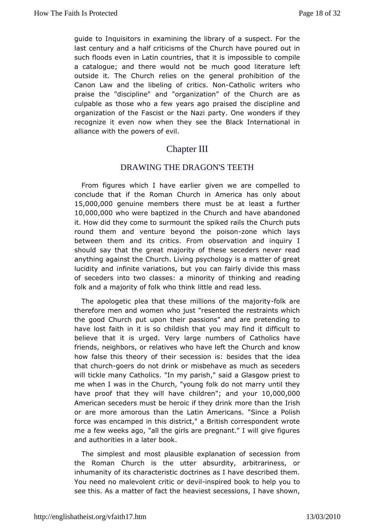quide to Inquisitox amining the library of a suspect. For the last century and a half ofittices this urch have poured out in such floods even in Latin countriensposhsablet tiss compile a catalogue; and there would not be much beofold literature outside it. The Church relies on the general prohibition o Canon Laawnd the libeling of critCloashonNicon writers who praise the "discipt higher organization" of the Church are as culpable as those who a few pyreaassedath be discipline and organization of the Fascist or the Nazindarty if Chey recognize it even now when they see the Black Internation: alliance with the powers of evil.

## **ChapterIII**

## DRAWING THE DRAGON'S TEETH

From figures which I have ive arrive to are compelled to conclude that if the Roman Church in Amabiocat has only 15,000,000 genuine members there must be at least a further 10,000,000 whowere baptized in the Church and have abandoned it. How did they come to stole misopul about a ils the Church puts round them and venture beyond -the pooling hays between them and its critics. From observation and inquishoulday that the great majority of these seceders never re anything againsCthuhrech. Living psychology is a matter of great lucidity and infinite vabruatiyonus, can fairly divide this mass of seceders into two classes: a the inn koinig y and reading folk and a majority of folk who think llest and read

The apologetic plea that these millions-foofiktheeremajority therefore men and women who just "resented the restraints w the good Chupructh upon their passions" and are pretending to have lost faith in idhisdissch that you may find it difficult to believe that it is urged. Veumblears eof Catholics have friends, neighbors, or relatives who Chave hight dthe aow how false this theory of their secession is: ideaides that the that churghers do not drink or misbehave as much as seceder will tickdeny Catholics. "In my parish," said a Glasgow priest me when I was ichthech, "young folk do not marry until they have proof that they widhild a eand you fo, 000,000 American seceders must be heroicm bruch a than the Irish or are more amorous than the Latin Amerie a his h "Since a force was encamped in this district," a British correspondent me afew weeks ago, "all the girls are pregnant." I will give figure and authorities later book.

The simplest and most plausible explanatiform of secession the Roman Church is the utter absurdity, arbitrariness, inhumanity its f characteristic doctrines as I have described the You need no male *v*oilte intor dienvsipired book to help you to see this. As a matter ohearietshte secessions, I have shown,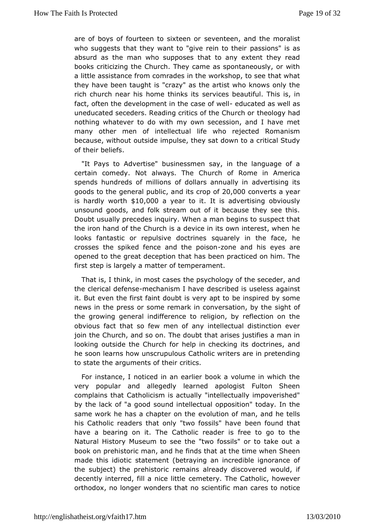are of boys of fourteen to sexteen the corr, and the moralist who suggests that they want to "give  $\alpha$  as in othos "this iras" absurd as the man who supposes that to any extent they r books criticizing the Church. They came as spontaneously, or a littlessistance from comrades in the workshop, to see that w they have been taughtazy" as the artist who knows only the rich church near his home shinks ests beautiful. This is, in fact, often the development in the eccleus cear toefdwæellwell as uneducated seceders. Reading critics othe beo Gyhuhradh or nothing whatever to do with my own secession, and I have many other men of intellectual life who rejected Romanis because, without out suit is they sat down to a critical Study of their beliefs.

"It Pays  $A$  overtise" businessmen say, in the language of a certain comedy. Not alwa@burdheof Rome in America spends hundreds of millions of dollars and his and its goods to the general apublits crop 00000 converts ear is hardly wo $f$ th,000 year to litis advertising obviously unsoungloods, and folk stream out of it because they see th Doubt usually preined wiss. When a man begins to suspect that the iron hand of the Chde which is a devia its own interest, when he looks fantastic or repulsivesdoateilyesn the face, he crosses the spiked fence and-ztohneepaonisdombelyses are opened to the great deception that has been practiced on him firstep is largely a matter of temperament.

That is, I think, in motshtecpasses the of the seceder, and the clerical defineencsheanism I hobeveecribed is useless against it. But even the first faint doubt beevien sypianed thoy some news in the press or some remark in convesigation by the the growing general indifference to religion, by reflection o obvious fact that so few men of any intellectual distinction join the hurch, and so on. The doubt that arises justifies a ma looking outsideChubech for help in checking its doctrines, and he soon learns how unscCaphuddics writers are in pretending to state the arguments conftit these.ir

For instance, I noticed in an earlier book a volume in whic very popular and allegedly learned apologist Fulton Sh complains thatholicism is actually "intellectually impoverishe by the lack of "asgood intellectual opposition" today. In the same work he has a chaptew colutibe of man, and he tells his Catholic readers that only "two bfoo ensifts" unhdavionat have a bearing on it. The Catholic reader is free to go to Natural History Museum to see the "two fossils" or to take book oprehistoric man, and he finds that at the time when She made this idisothic cent (betraying an incredible ignorance of the subject) the prememins already discovered would, if decently interred, fill a memethery. The Catholic, however orthodox, no longer wonders that mansclare trion notice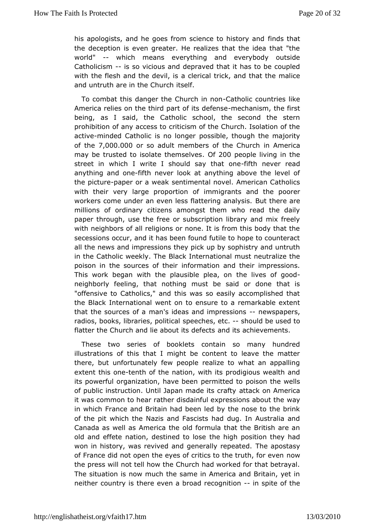his apologists, and he goes from science indushit stactry and the deception is even greater. He realizes that the idea that world"-- which means everything and everybody outside Catholicis-mis swicious and depraved that it has to be coupled with the flesh and the adecovelrigal trick, and that the malice and untruth are in the  $t$ **G** be  $u$ fr.ch

To combat this danger the  $Ch+G$  ahhonion corountries like A merica relies on the third part on heids a cheisem, such e first being, as said, the Catholic school, the second the stern prohibition of any accretsis ison of the Church. Isolation of the activeninded Catholic is nopolonarichely though the majority of th $\vec{\sigma}$ ,000.00 $\vec{\omega}$ r so adult members of then CAhmuercihoa may be trusted to isolate the messelves ple living in the street in which I write I should saivfthhaeveneread anything aonmdefifth never look at anything above the level of the pictupræper or a weearktimental novel. American Catholics with their very large propomtmoigrants and the poorer workers come under an even less flattButthenelases. millions of ordinary citizens amongst them who read the d paper through, use the free or subscription library and mix withneighbors of all religions or none. It is from this body the secessions cur, and it has been found futile to hope to counter all the newsimmpdessions they pick up by sophistry and untruth in the Catholic weekByackhkenternational must neutralize the poison in the sources informeation and their impressions. This work began with the plausibilie pllie as, conf good neighborly feeling, that nothing must be said or done that "offensive to Catholics," and this was so easily accomplishe the Blackternational went on to ensure to a remarkable exter that the sourcesman's ideas and impresmews papers, radios, books, librariess poeceld higged, e-tschould be used to flatter the Church and lie about nid sit the fact of the nents.

These two series of booklets contain so many hundre illustrations of this that I might be content to leave the m there, bunfortunately few people realize to what an appalling extent this-tenth of the nation, with its prodigious wealth and its powerful organization, **bave** ibteen to poison the wells of public instruction. Until Japan maatdæcktsoncr&anfintogrica it was common to hear rather disdainful exprexses yions about the in which France and Britain had been led by the nose to the of the pwinich the Nazis and Fascists had dug. In Australia and Canada as well as Atmeerood formula that the British are an old and effete nation, destinted tho qlhospeosition they had won in history, was revived and generahley appstatseyd. of France did not open the eyes of critics to  $\mathfrak h$  tow truth, for even  $\mathfrak e$ the press will not tell how the Church had worked for that bet Thesituation is now much the same in America and Britain, yet neither countty eirse even a broad recognition it of the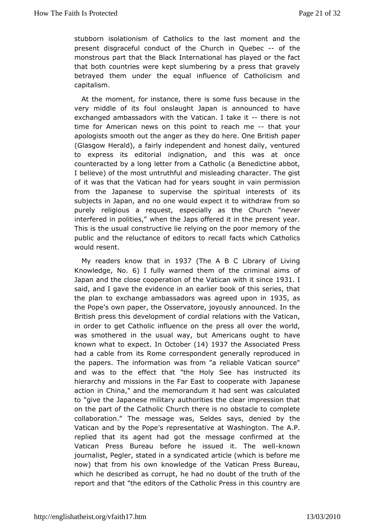stubborn isolationi Genthooflics to the last moment and the present disgraceful conduct of ithe Q C ebec fof the monstrous part that the Black Internationath  $\bullet$  afsacptlayed or that both countries were kept slumbering by a press that  $gr_i$ betrayed them under the equal influence of Catholicism capitalism.

Atthe moment, for instance, there is some fuss because in very middle offouth onslaught Japan is announced to have exchanged ambassadors Wathcame I take there is not time for American news on this pomme-to head a gbur apologists smooth out the anger as they do **bape** Cne British (Glasgow Herald), a fairly independent and honest daily, ven to express its editorial indignation, and this was at on counteracted by a long from a Catholic (a Benedictine abbot, I believe) of the most unantruthmifsulleading character. The gist of it was that the Vatican had of toghy einar sain permission from the Japanese to supervise the spirotfualtsinterests subjects in Japan, and no one would expect it to withdraw from purelyreligious a request, especially as the Church "nev interfered in polwthen, the Japs offered it in the present year. This is the usual construed viiving low the poor memory of the public and the reluctance of editfoancal stow hechal Catholics would resent.

My readers know the  $\theta$  and  $\theta$  and  $\theta$  and  $\theta$  and  $\theta$  and  $\theta$  and  $\theta$  and  $\theta$  and  $\theta$  and  $\theta$  and  $\theta$  and  $\theta$  and  $\theta$  and  $\theta$  and  $\theta$  and  $\theta$  and  $\theta$  and  $\theta$  and  $\theta$  and  $\theta$  and  $\theta$  and  $\theta$  and  $\theta$ Knowledge  $a \in \mathbb{R}$  is ally warned them of the crimular aims Japan and the close cooperation of the Vati@anlwith it since saidand I gave the evidence in an earlier book of this series, the plan etxchange ambassadors was agree 235 pas in the Pope's own pap@s, seheatore, joyously announced. In the British press this develocpomdeiratl ortelations with the Vatican, in order to get Catholic influepress on all thoever the world, was smothered in the usual way, but Amerheaves ought to known what to exime Otctob(en4) 1937 the Associated Press had a cablem its Rome correspondent generally reproduced i the papers. The information mome "a reliable Vatican source" and was to the effect that "the has blyin Sterected its hierarchy and missions in the Far East to compesate with action in China," and the memorandum it had sent was calcu to"give the Japanese military authorities the clear impression on the parthoef Catholic Church there is no obstacle to comple collaboration." The mwasag&eldes says, denied by the Vatican and by the Pope's repreWearsthainigneoust The A.P. replied that its agent had got the message confirmed at Vatican Press Bureau before he issued known The well journalist, Pesgtbetne,d in a syndicated article (which is before m now) that from hisknowwhedge of the Vatican Press Bureau, which he described as corruptd on ubth and the truth of the report and that "the editors of the CathiolicouPrating saime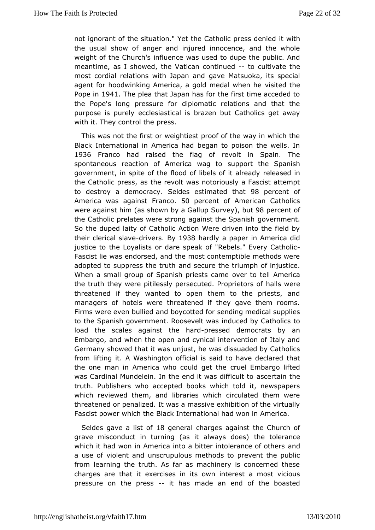not ignorant of the situation." Yet the Cathid live it thress denied the usual show of anger and injured innocence, and the w weight  $b$  the Church's influence was used to dupe the public.  $A$ meantime, as I showe d, atican continuous dultivate the most cordial relations with dapen Manteluoka, its special agent for hoodwinking America, a gold meediate dwheen he Pope in 941 The plea that Japan has for the first time acceded the Pope's long pressure for diplomatic relations and that purpose is pueredy esiastical is brazen but Catholics get away with it. They contpoesse

This was not the first or weightiest proof of the way in whic Black International in America had began to poison the well 1936 Franco had ised the flag of revolt in Spain. The spontaneous reaction of Americsaupwent ttche Spanish government, in spite of the flood of libered seafs end a laready the Catholic press, as the revolt was notoriously a Fascist a to destroy a democGradodyes estimated 98 hpater cent of America was ag&irmastic o 50 percent of American Catholics were against him (as shown bSyuave) ablut \$8 percent of the Catholic prelates were strong agaings tve in emSepnatnish So the duped laity of Catholic Action Were driven into the fi their clerical-striaweer\$9y1938 hardly a paper in America did justice the Loyalists or dare speak of "Rebels.-" Every Catho Fascist lie ewn adsorsed, and the most contemptible methods were adopted to suppress the adtrand bure the triumph of injustice. When a small group of Spanish povests ocaente America the truth they were pitilessly persecutedhaPI so pure ectors of threatened if they wanted to open them to the priests,  $\varepsilon$ managerosf hotels were threatened if they gave them rooms Firms were even bullbood cantuded for sending medical supplies to the Spanish government. Roosdue by Mays Catholics to load the scales against -phreessheadddemocrats by an Embargo, and when the open and cynical intervention of Italy Germany show head it was unjust, he was dissuaded by Catholics from lifting it. A Waschifing tah is said to have declared that the one man in America who coudid get Emilbeargo lifted was Cardinal Mundelein. In the end it awsacsendtiafinculthe to truth. Publishers who accepted books which told it, newspa which reviewed them, and libraries which circulated them  $y$ threatened ponalized. It was a massive exhibition of the virtual Fascist power which the International had won in America.

Seldes gave a listgeneraharges against the Church of grave misconduct in turning (as it athweavtsoledncaensc)e which it had won in America into a bitter into alledance of other a use of violent and unscrupulous methods to prevent the p fromlearning the truth. As far as machinery is concerned th charges are that eirtcises in its own interest a most vicious pressure on the p-retsshasmade an end of the boasted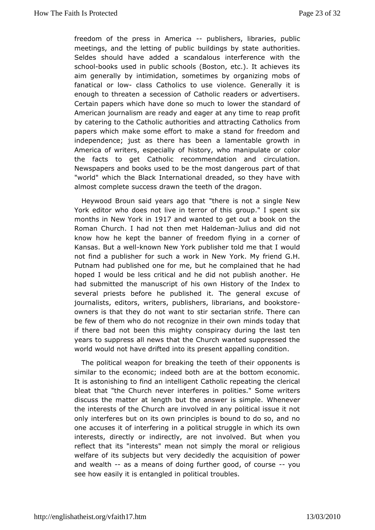freedom of the press in -America herosing ratios, public meetings, and the letting of public buileduithgosribiyess.tate Seldes should have added a scandalous interference with schooblooks used in public schools (Boston, etc.). It achieves aimgenerally by intimidation, sometimes by organizing mobs fanatical or- colauss Catholics to use violence. Generally it i enough to threaten a secessatholic readers or advertisers. Certain papers which have donelswem utch the tsotandard of American journalism are ready and eager eat pap yofime to by catering to the Catholic authorities and aftpancting Catholic papers which make some effort to make a stand for freedom independencest as there has been a lamentable growth in America of writers, espendisably o who manipulate or color the facts to get Catholic recommendation hat in and Newspapers and books used to be the most dangerous part of "world" which the Black International dreaded, so they have almost compseute cess drawn the teeth of the dragon.

Heywood Broun said years "alomerethiest not a single New York editor who does not live in togenorupp." bil tshpisent six months in New Yoll extident and wanted to get out athook on Roman Church. I had not then me-tJuHliaulsdeamadndid not know how kept the banner of freedom flying in a corner of Kansas. But akwewn NeWork publisher told me that I would not find a publisher for such a Woork in Ny of wiend G.H. Putnam had published one for me, but he comptained that he hoped I would be less critical and he did not publish anothe hadsubmitted the manuscript of his own History of the Index several priebset fore he published it. The general excuse of journalists, editors, purblessers, librarians, and bookstore owners is that they do not wae that is thirst rife. There can be few of them who do not recognizemindtshetord awnthat if there bad not been this mighty conspiracy techuring the last years to suppress all news that the Church wanted suppresse world wounlot have drifted into its present appalling condition.

The politive a apon for breaking the teeth of their opponents is similar to the economed redet both are at the bottom economic. It is astonishing to find an Ciant the dlingent peating the clerical bleat that "the Church never imptoelniteeres" is ome writers discuss the matter at length but the ans Wheen ies vesnimple. the interests of the Church are involved in any political issue only interferes but on its own principles is bound to do so, and one accuses interfering in a political struggle in which its own interests, directliyndirectly, are not involved. But when you reflect that its "interests" mean ally the moral or religious welfare of its subjects but very decocoid lesd tyo nhef power and wealthas a means of doing further good, yoofu course see how easily it is entangled in political troubles.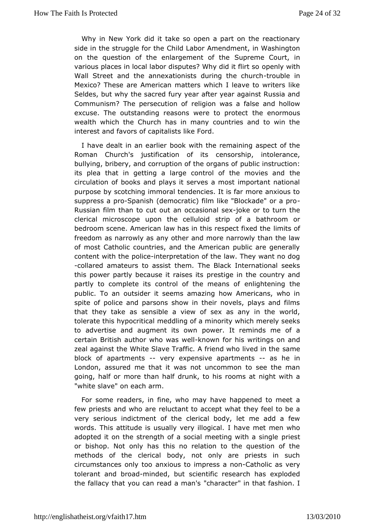Why in New ork did it take so open a part on the reactionary side in the struggle Cflowind heabor Amendment, in Washington on the question of the enlargem Supremeth Court, in various places in local labor disputes? Whow no divid with the it it so Wall Street and the annexationists durited out the church Mexico? These are American matters which I leave to writers Seldes, but whey sacred fury year after year against Russia an Communism? The persecutelonion was a false and hollow excuse. The outstanding reasons wethet oen porromients wealth which the Church has in many countries and to win interest and favors of capitalists like Ford.

I have dealt in an becaus kiewith the remaining aspect of the Roman Church's justification cenosiorist sip, intolerance, bullying, bribery, and corruption of pthe beling rignants uncertion: its plea that in getting a large control of the movies and circulation of books and plays it serves a most important na purpostey scotching immoral tendencies. It is far more anxious suppressprae Spanish (democratic) film like "Blockade" or a pro Russian film than ot out caurt occasion-adolksee or to turn the clerical microscope upon thestripolluolfoid bathroom or bedroom scene. American law has in this rleisn plesc to fixed the freedom as narrowly as any other and more narrowly than the ofmost Catholic countries, and the American public are gene content with pthe eignterpretation of the law. They want no dog -collared amateurs to the assistine Black International seeks this power partly because it presistence its the country and partly to complete its control of the onling belong the partly to complete its control of the public. To an outsider it seems amazing how Americans, wh spite of police and parsons show in their novels, plays and that they taakse sensible a view of sex as any in the world, tolerate this hypomeredictal and a minority which merely seeks to advertise and augment piosweorwnit reminds me of a certain British author who kwawnw fedt wristings on and zeal against the White Slave Traffic. A friensdamubo lived in the block of apartments ry expensive apartments in Londom, assured me that it was not uncommon to see the mar going, half or more thobrounkhalfto his rooms at night with a "white slave" on each arm.

For som eaders, in fine, who may have happened to meet  $\varepsilon$ few priests and whe luacteant to accept what they feel to be a very serious indictment cloefriche body, let me add a few words. This attitude is usually vlehyavielongedamlen who adopted it on the strength of a social meetproges with a single or bishop. Not only has this no relation to the question of methodsof the clerical body, not only are priests in suc circumstances on ay nxicocus to impress-Caa trhoonlic as very tolerant and bmoaded, badientific research has exploded the fallacy that you can rea''d haama and s" in that fashion. I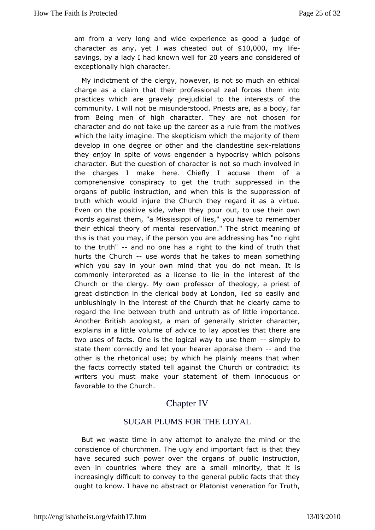am from a very long and wide experiencedes of od a character as,  $a \cdot b$  I was cheated  $a \cdot b \cdot 0$  of  $0 \cdot 0$  of  $y$  life savings, aby a dy I had known welly efaorrs and considered of exceptionally chhian that cter.

My indictment of the clergy, however, is not so much an et charge as a claim that their professional zeal forces them practices whaceh gravely prejudicial to the interests of the community. I will mas brederstood. Priests are, as a body, far from Being men of high charactear.e not chosen for character and do not take up the career the machulves from which the laity imagine. The skepticism which the majority of develop in one degree or other and the -creations and sex they enjoy sprite of vows engender a hypocrisy which poisons character. But the quecshtan  $\mathfrak{a}$  of is not so much involved in the charges I make here. Chiefly themaccousea comprehensive conspiracy to get the truth suppressed in organs public instruction, and when this is the suppression truth which would iheurch they regard it as a virtue. Even on the positive side, when the yopwester their own words against them, "a Mississippi of lies, meynobue have to their ethical theory of mental reservation." The strict meani thiss that you may, if the person you are addressing has "no to the truth and no one has a right to the kind of truth that hurts the Churculse word bat he takes to mean something which you say in your own mind that myeoaun.dolt nisst commonly interpreted as a license to lie in the interest of Church or the clergy. My own professor of theology, a prie greatistinction in the clerical body at London, lied so easily unblushingly heninterest of the Church that he clearly came to regard the line betweemdruthtruth as of little importance. Another British apologist, gemeanalbyf stricter character, explains in a little volume of aadpoisselets that there are two uses of facts. One is the logical way sit mopuly set othem state them correctly and let your hearer-appodatise them other is the rhetorical use; by which he plainly means that the facts prectly stated tell against the Church or contradict writers you must moaukre statement of them innocuous or favorable to the Church.

## Chapter IV

### SUGAR PLUMS FOR THE LOYAL

But we wastene in any attempt to analyze the mind or the conscience of churchmen.ahteimopbyrtant fact is that they have secured such power over the udorliganis nafuction, even in countries where they are a small mimsority, that i increasingly difficult to convey to the general public facts th oughto know. I have no abstract or Platonist veneration for Tr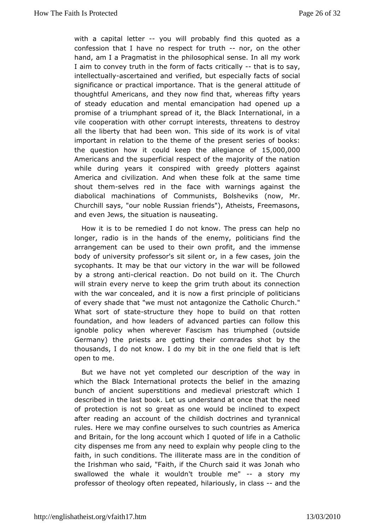with a capiteal letter-you will probably find this quoted as a confession that I haveppot for truthor, on the other hand, am I a Pragmatis thin the bombical sense. In all my work I aim to convey truth in the foormitical flanchest is to say. intellectuals overtained and verifies the but facts of social significance or practical importancopen Telmat astituede of thoughtful Americans, and they now find that awhereas fifty of steady education and mental emancipation had opened u promise of raumphant spread of it, the Black International, in vile cooperation the corrupt interests, threatens to destroy all the liberty that had b $\overline{e}$  beins wso deed its work is of vital important in relation to the the mess econft tsheeries of books: the question how it could keep the all seconder the out Americans and the superficial respect of the majority of the while during years it conspired with greedy plotters aga America and ulization. And when these folk at the same time shout the smelves red in fabole with warnings against the diabolical machinations of Communists, no wols Meviks Churchill says, "our noble Russian friends"), Atheists, Freem and even Jews, the situation is nauseating.

How it is to be remedineat Iknow. The press can help no longer, radio is in the hands of publection armsy, find the arrangement can be used to their own pimofrie, n sand the body of university professor's sit silent or, in a few cases, j sycophants. It may be that our victory in the war will be foll by a stroant-iclerical reaction. Do not build on it. The Churc will strain every to ekeep the grim truth about its connection with the war concealed, neoned at fisst principle of politicians of every shade that "we must not thant agto hoi bic Church." What sort of ssttatuscture they hope to build oothenthat foundation, and how leaders of advanced parties can follow ignoblpolicy when wherever Fascism has triumphed (outsid Germany) the priest stetained their comrades shot by the thousands, I do not know. I do movnbeitfiend that at is left open to me.

But we have not yet completes of ripution of the way in which the Black International protects the beam beliefig in bunch of ancient superstitions and medieval priestcraft wh described in the last book. Let us understand at once that the ofprotection is not so great as one would be inclined to ex after reading a can bunt of the childish doctrines and tyrannical rules. Here we may **constence**s to such countries as America and Britain, for the long accomund two thing hilfe in a Catholic city dispenses me from any need top explain imagy to the faith, in such conditions. The illiterate croasistian me on the the Irishman who said, "Faith, if the Church said it was Jona swallowed the whale it wouldn't troubletome" my professor of the cofit tegny repeated, hilariously-, annd ot has s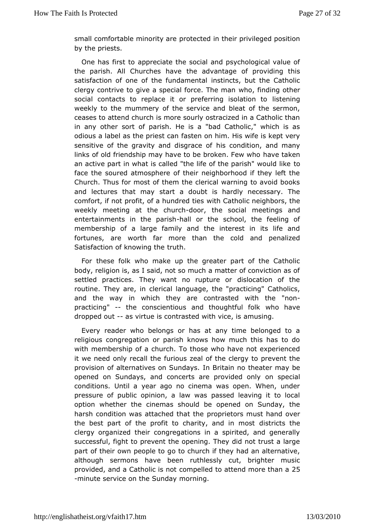small comfortable minopriot veated in their privileged position by the priests.

One has firsapporeciate the social and psychological value of the parish. All Churchebehad wantage of providing this satisfaction of one of the fuim stain ental but the Catholic clergy contrive to give a special fow  $\mathbf{te}$ , flindim  $\mathbf{q}$  mother social contacts to replace it or preferrilnig teision gition to weekly to the mummery of the service and bleat of the serm ceasets attend church is more sourly ostracized in a Catholic in any other sorptarish. He is a "bad Catholic," which is as odious a label as the pfraest and him. His wife is kept very sensitive of the gravity and dhiissgread onediotion, and many links of old friendship may have to be bhawenta Rew who an active part in what is called "the life of the oparish" would face the soured atmosphere of their neighborhood if they left Church. hus for most of them the clerical warning to avoid boo and lectures that straty a doubt is hardly necessary. The comfort, if not profit, of a hwitch endatheosic neighbors, the weekly meeting at the-doorburchine somigatings and entertainments in the haldrish the school, the feeling of membership of a large family and the interest in its life fortunes, awerth far more than the cold and penalized Satisfaction of knowirudhthe

For these folk who make up the greater part of the Cath body, eligion is, as I said, not so much a matter of conviction settle practices. They want no rupture or dislocation of the routine. They arde priim allanguage, the "practicing" Catholics, and the way in which theontarested with the "non  $practicing$ " the conscientious and thoug which have the conscientious and though which have the  $m$ dropped outs virtue is contrasted with wicheg.is

Every reader who belongs or has at any time belonged to religious congregation or parish knows how much this has t with memberschipa church. To those who have not experienced it we need only recfaulrlicture zeal of the clergy to prevent the provision of alternatives on nS B midtays.no theater may be opened on Sundays, and concerts are pnovsipale abnly conditions. Until a year ago no cinema was open. When, u pressurcef public opinion, a law was passed leaving it to lo option whether cthemas should be opened on Sunday, the harsh condition was attached robaitetbes must hand over the best part of the profit to charity, dissit dicities the most clergy organized their congregations in a spirited, and gene successful, fight to prevent the opening. They did not trust a part otheir own people to go to church if they had an alternat although sermanse been ruthlessly cut, brighter music provided, and a Catholdomperibetd to attend mor esthan a  $-$ minute service on the mSoundag.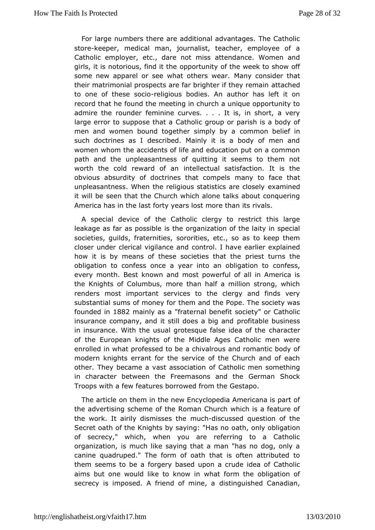For large numbers there are additional advantages. The Cat stor eeper, medical man, journalist, teacher, employee of Catholic emploeyteer, dare not miss attendance. Women and girls, it is notorious, food oint the et v of the week to show off some new apparel or see what others weasider that their matrimonial prospects are far brighteattiaf chheedy remain to one of these-redigioous bodies. An author has left it on record hat he found the meeting in church a unique opportunity admire the roundedmeinine curves. . . . It is, in short, a very large error to suppos $\epsilon$  at that lias group or parish is a body of men and women bound together simpony motory baelief in such doctrines as I described. Mainly it is a body of men women whom the accidents of life and education put on a com path and the pleasantness of quitting it seems to them not worth the cold rewardinot fellon actual satisfaction. It is the obvious absurdity of doctrines thraan  $\phi$  or to face that unpleasantness. When the religious statie kia bae closely it will be seen that the Church which alone talks about conqu America has in the last forty years lost more than its rivals.

A specidevice of the Catholic clergy to restrict this large leakage as far as pissible iganization of the laity in special societies, quilds, fratseormoitiese, etc., so as to keep them closer under clerical vigidantreoland have earlier explained how it is by means of these societies that urthere the obligation to confess once a year into amomofole is gation to every month. Best known and most powerful of all in Americ the Knights of Columbus, more than half a million strong, wh renders moismtportant services to the clergy and finds very substantial sums of mohem fand the Pope. The society was founded 1882 mainly as fraternal bnefit society" or Catholic insurance company, and it still dopersofatbologieaboldsiness in insurance. With the usual grotesque fachseeraid teeer of the of the European knights of the Middle Ages Catholic men enrolled what professed to be a chivalrous and romantic body modern knights efranthe service of the Church and of each other. They became a vast acsis caination of men something in character between the Freemasons and Shtohnek German Troops with a few features borrowed from the Gestapo.

The article hoem in the new Encyclopedia Americana is part of the advertising scheme comfatthe Church which is a feature of the work. It airily dismissue csholible ussed question of the Secret oath of the Knights by sayo agh, "blalsy nobligation of secrecy," which, when you are referring to a Cathol organization, is much like saying that a man "has no dog, o caninguadruped." The form of oath that is often attributed them seems to boergeery based upon a crude idea of Catholic aims but one would like tow haow foim the obligation of secrecy is imposed. A friend **of** is thinguished Canadian,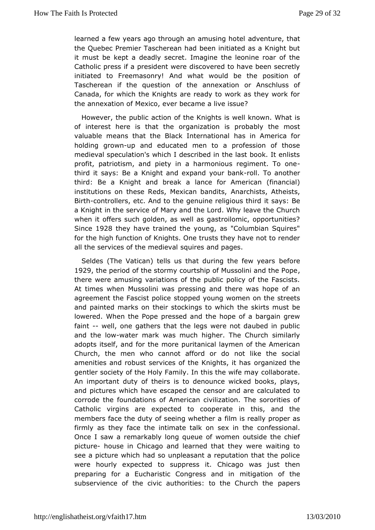learned a few years ago through an andwest interleption that the Quebec Premier Tascherean had been initiated as a Knigl it must be kept a deadly secret. Imagine the leonine roar o Catholic press president were discovered to have been secret initiated to Freema&ondrywhat would be the position of Tascherean if the question of theoman he sahilons of Canada, for which the Knights are ready to work as they wor the annexation of Mexico, ever became a live issue?

However, the paubtlich of the Knights is well known. What is of interest here is thorngathication is probably the most valuable means that the Black Interestriantion maderica for holding grown and educated men to a profession of those medieval speculation's which I described in the last book. It profitpatriotism, and piety in a harmonious regiment. To on third it says: Beeigaht and expand your blank another third: Be a Knight and baeak a for American (financial) institutions on these Reds, MexiAanarbhists, Atheists, Birthcontrollers, etc. And to the genuine itestian is a sthird a Knight in the service of Mary and the Lord. Why leave the C when it offers such golden, as well as gastroilomic, opportui Since 928they have trained the young, as "Columbian Squires for the high func **K**ong ofs. One trusts they have not to render all the services of the smoundies ad nd pages.

Seldes (The Vatican) tells us that during betheer efew years 1929the period of the stormy courtship of Mussolini and the P therewere amusing variations of the public policy of the Fasc At times when as olini was pressing and there was hope of ar agreement the Fascisstoppolied young women on the streets and painted marks on their stockining to the stomhust be lowered. When the Pope pressed and the hope of a bargain faint-well, one gathers that the legs were not daubed in put and theowwater mark was much higher. The Church similarly adopts itself, and moorreth puritanical laymen of the American Church, the men who cannot affwod lokedohe social amenities and robust services of the Kngghtzed tthas gentler society of the Holy Family. In the slitahle owafe may An important duty of theirs is to denounce wicked books, p andpictures which have escaped the censor and are calculate corrode tho eundations of American civilization. The sororities Catholic virginse apreected to cooperate in this, and the members face the duty of seeing ilw the sheerally proper as firmly as they face the intimate talk oon sees sion ahe Once I saw a remarkably long queue of women outside the c picturehouse in Chicago and learned that they were waiting see a pictwhech had so unpleasant a reputation that the polic were hourly expectsdppoess it. Chicago was just then preparing for a Eucharistic Congreeistig antriount the subservience of the civic authorities: to phape Church the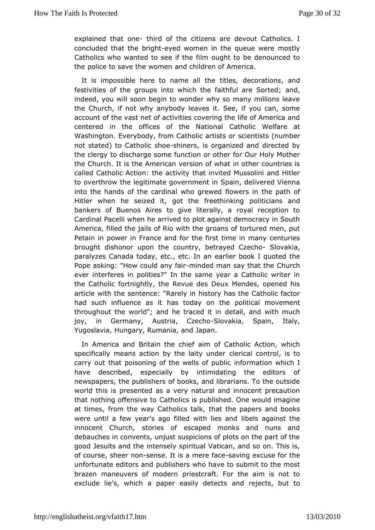explained that tohned of the citizens are devout Catholics. I concluded that the-ebyreight omen in the queue were mostly Catholics whanted to see if the film ought to be denounced to the police to save the a woom bildren of America.

It is impossible here to name aldet the rattitions, and festivities of the groups into which the faitherfiel are Sorted; indeed, you will soon begin to wonder why so many millions the Church, if not why any body leaves it. See, if you can, so account of then easdf activities covering the life of America an centered in the offictes onlational Catholic Welfare at Washington. Everybody, from Cathosloce attssts (number not stated) to Catho-biblishose, is organizetic examed by the clergy to discharge some function or other for Our Holy N the Church. It is the American version of what in other count calledatholic Action: the activity that invited Mussolini and F to overthrow legetimate government in Spain, delivered Vienna into the hands of the whoodign raelwed flowers in the path of Hitler when he seized it, got the podetathina his gand bankers of Buenos Aires to give literally, a royal reception Cardinal Pacelli when he arrived to plot against democracy in America, lled the jails of Rio with the groans of tortured men, Petain in poweraimce and for the first time in many centuries brought dishonor upom uthtey, betrayed C Sechakia, paralyzes Canada today, etc., e at bien h boamk I quoted the Pope asking: "How could mande fot iman say the a Church ever interferes in polities?" In the same year a Catholic wri the Catholic fortnightly, the Revue des Deux Mendes, opene article with stehnet ence: "Rarely in history has the Catholic factor had such influencehas ioday on the political movement throughout the world"; and he totated it iand with much joy, in Germany, Austria,-Slovakhao, Spain, Italy, Yugoslavia, Hungary, Rumania, and Japan.

In America and Britain tahiem confie Catholic Action, which specifically means action by the clearity a uncobentrol, is to carry out that poisoning of the weinlifs romfaptius build in any carry out that I have described, especially by intimidating the editors newspapers, the publishers of books, and librarians. To the o world thiss presented as a very natural and innocent precauti that nothing offen Sia tholics is published. One would imagine at times, from the way Catholiads the unpapers and books were until a few year's ago filled hibeld libels a anned the innocent Church, stories of escaped monks and nuns a debauches in convents, unjust suspicions of plots on the part good esuits and the intensely spiritual Vatican, and so on. Th of coursseh, eer n-osmense. It is a merse a  $v$  and  $e$  excuse for the unfortunate editopsu anishers who have to submit to the most brazen maneuvers of modessttorraft. For the aim is not to exclude lie's, which a paper eaanloy deejteecottss, but to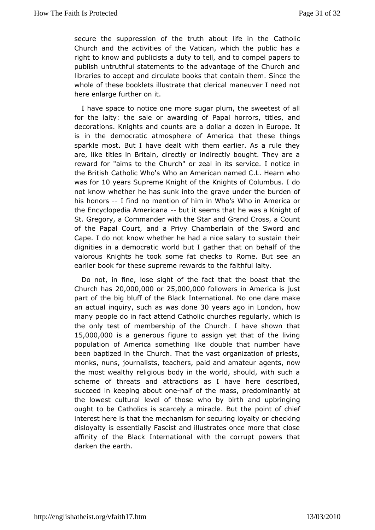secure the suppression of the truth abo@atholicin the Church and the activities of the Vatican, which the public  $\vdash$ righto know and publicists a duty to tell, and to compel paper publish intruthful statements to the advantage of the Church and libraries to accept traundate books that contain them. Since the whole of these booklets till butstrate cal maneuver I need not here enlarge further on it.

I have spacenotice one more sugar plum, the sweetest of all for the laity: the sawearding of Papal horrors, titles, and decorations. Knights and codots a mare dozen in Europe. It is in the democratic atmosphere of Ameresie can it theast sparkle most. But I have dealt with them earlier. As a rule are, like titles in Britain, directly or indirectly bought. They rewardor "aims to the Church" or zeal in its service. I notic the BritiGatholic Who's Who an American named C.L. Hearn wh was folro years Supre Kmeght of the Knights of Columbus. I do not know whether he has sund ran to under the burden of his honorst find no mention of him in WhAomse Withan oin the Encyclopedia Am<del>e</del> bana seems that he was a Knight of St. Gregory, a Commander with the Star and Grand Cross, a C of the PapCaolurt, and a Privy Chamberlain of the Sword and Cape. I do not know when the had rain residence salary to sustain their dignities in a democratic world bluatlog a bleehralf of the valorous Knights he took some fat checks to a Rome. But see earlier book for these supreme rewards to the faithful laity.

Do notin fine, lose sight of the fact that the boast that t  $Churchh2s,000,00025,000,0000$ llowers in America is just part of the big bluff of **thee Briational**. No one dare make an actual inguircyh as was d3o0nyee ars agno London, how many people do in fact attend Catholic churches regularly, wh the only test of membership of the Church. I have shown 1 15,000,000 agenerous figure to assign yet that of the living population of America solmkeethologble that number have been baptized in the Church. Tho agathe vata on of priests, monks, nuns, journalists, teachers, paiadgents ametweur the most wealthy religious body in the world, should, with su scheme of threats and attractions as I have here descrit succeed in keeapbion gt o-thealf of the mass, predominantly at the lowest cultural level wolfothoys birth and upbringing ought to be Catholics is scarcely a mproante of But the point of chieffe interest here is that the mechanism for secule crising pyalty or disloyalty is essentially Fascist and illustrates once more that affinity of the Black International with the corrupt powers darken the rth.